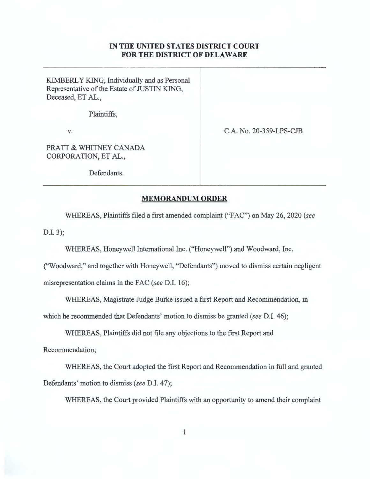## **IN THE UNITED STATES DISTRICT COURT FOR THE DISTRICT OF DELAWARE**

KIMBERLY KING, Individually and as Personal Representative of the Estate of JUSTIN KING, Deceased, ET AL.,

Plaintiffs,

V.

C.A. No. 20-359-LPS-CJB

PRATT & WHITNEY CANADA CORPORATION, ET AL.,

Defendants.

## **MEMORANDUM ORDER**

WHEREAS, Plaintiffs filed a first amended complaint ("F AC") on May 26, 2020 *(see* 

D.I. 3);

WHEREAS, Honeywell International Inc. ("Honeywell") and Woodward, Inc.

("Woodward," and together with Honeywell, "Defendants") moved to dismiss certain negligent misrepresentation claims in the FAC *(see* D.I. 16);

WHEREAS, Magistrate Judge Burke issued a first Report and Recommendation, in

which he recommended that Defendants' motion to dismiss be granted *(see* D.I. 46);

WHEREAS, Plaintiffs did not file any objections to the first Report and

Recommendation;

WHEREAS, the Court adopted the first Report and Recommendation in full and granted Defendants' motion to dismiss *(see* D.I. 47);

WHEREAS, the Court provided Plaintiffs with an opportunity to amend their complaint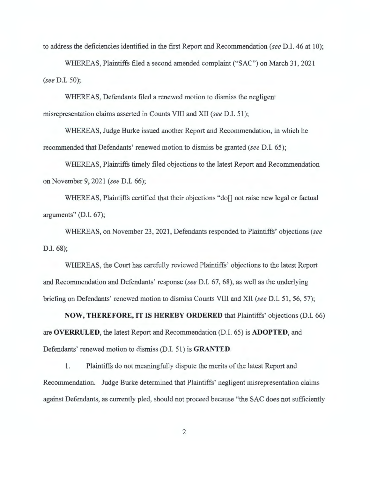to address the deficiencies identified in the first Report and Recommendation *(see* D.I. 46 at 10);

WHEREAS, Plaintiffs filed a second amended complaint ("SAC") on March 31 , 2021 *(see* D.l. 50);

WHEREAS, Defendants filed a renewed motion to dismiss the negligent misrepresentation claims asserted in Counts VIII and XII *(see* D.I. 51);

WHEREAS, Judge Burke issued another Report and Recommendation, in which he recommended that Defendants' renewed motion to dismiss be granted *(see* D.I. 65);

WHEREAS, Plaintiffs timely filed objections to the latest Report and Recommendation on November 9, 2021 *(see* D.I. 66);

WHEREAS, Plaintiffs certified that their objections "do[] not raise new legal or factual arguments" (D.I. 67);

WHEREAS, on November 23 , 2021 , Defendants responded to Plaintiffs' objections *(see*  D.I. 68);

WHEREAS, the Court has carefully reviewed Plaintiffs' objections to the latest Report and Recommendation and Defendants' response *(see* D.I. 67, 68), as well as the underlying briefing on Defendants' renewed motion to dismiss Counts VIII and XII *(see* D.I. 51 , 56, 57);

**NOW, THEREFORE, IT IS HEREBY ORDERED** that Plaintiffs' objections (D.I. 66) are **OVERRULED,** the latest Report and Recommendation (D.I. 65) is **ADOPTED,** and Defendants' renewed motion to dismiss (D.I. 51) is **GRANTED**.

1. Plaintiffs do not meaningfully dispute the merits of the latest Report and Recommendation. Judge Burke determined that Plaintiffs' negligent misrepresentation claims against Defendants, as currently pled, should not proceed because "the SAC does not sufficiently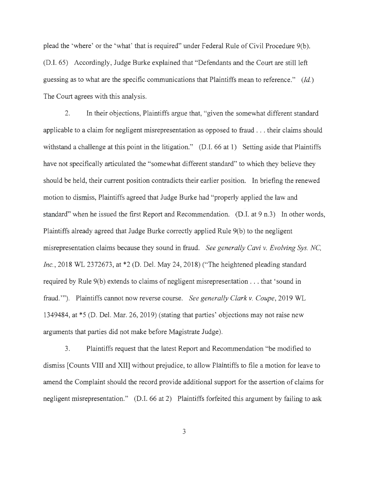plead the 'where' or the 'what' that is required" under Federal Rule of Civil Procedure 9(b). (D.I. 65) Accordingly, Judge Burke explained that "Defendants and the Court are still left guessing as to what are the specific communications that Plaintiffs mean to reference." *(Id.)*  The Court agrees with this analysis.

2. In their objections, Plaintiffs argue that, "given the somewhat different standard applicable to a claim for negligent misrepresentation as opposed to fraud . .. their claims should withstand a challenge at this point in the litigation." (D.I. 66 at 1) Setting aside that Plaintiffs have not specifically articulated the "somewhat different standard" to which they believe they should be held, their current position contradicts their earlier position. In briefing the renewed motion to dismiss, Plaintiffs agreed that Judge Burke had "properly applied the law and standard" when he issued the first Report and Recommendation. (D.I. at 9 n.3) In other words, Plaintiffs already agreed that Judge Burke correctly applied Rule 9(b) to the negligent misrepresentation claims because they sound in fraud. *See generally Cavi v. Evolving Sys. NC, Inc.,* 2018 WL 2372673, at \*2 (D. Del. May 24, 2018) ("The heightened pleading standard required by Rule 9(b) extends to claims of negligent misrepresentation ... that 'sound in fraud."'). Plaintiffs cannot now reverse course. *See generally Clark v. Coupe,* 2019 WL 1349484, at \*5 (D. Del. Mar. 26, 2019) (stating that parties' objections may not raise new arguments that parties did not make before Magistrate Judge).

3. Plaintiffs request that the latest Report and Recommendation "be modified to dismiss [Counts VIII and XII] without prejudice, to allow Plaintiffs to file a motion for leave to amend the Complaint should the record provide additional support for the assertion of claims for negligent misrepresentation." (D.I. 66 at 2) Plaintiffs forfeited this argument by failing to ask

3